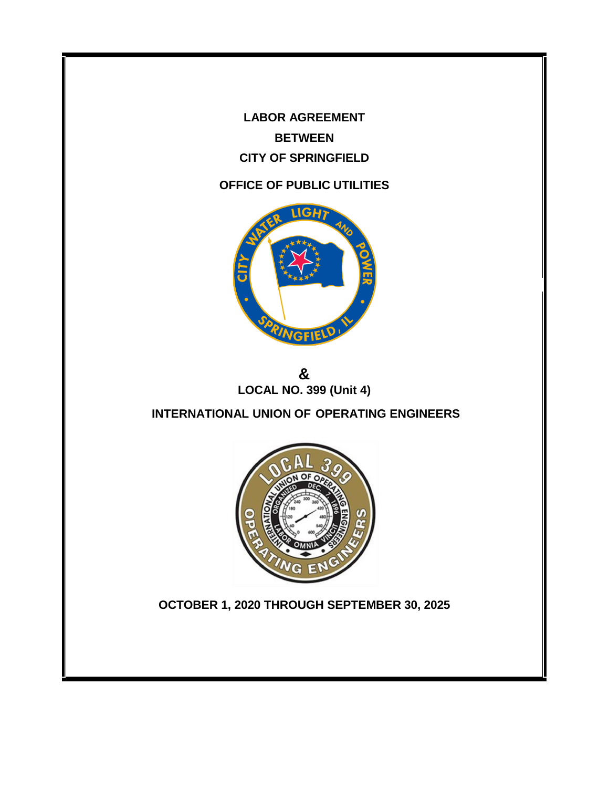**LABOR AGREEMENT BETWEEN CITY OF SPRINGFIELD**

# **OFFICE OF PUBLIC UTILITIES**



**& LOCAL NO. 399 (Unit 4)**

**INTERNATIONAL UNION OF OPERATING ENGINEERS**



**OCTOBER 1, 2020 THROUGH SEPTEMBER 30, 2025**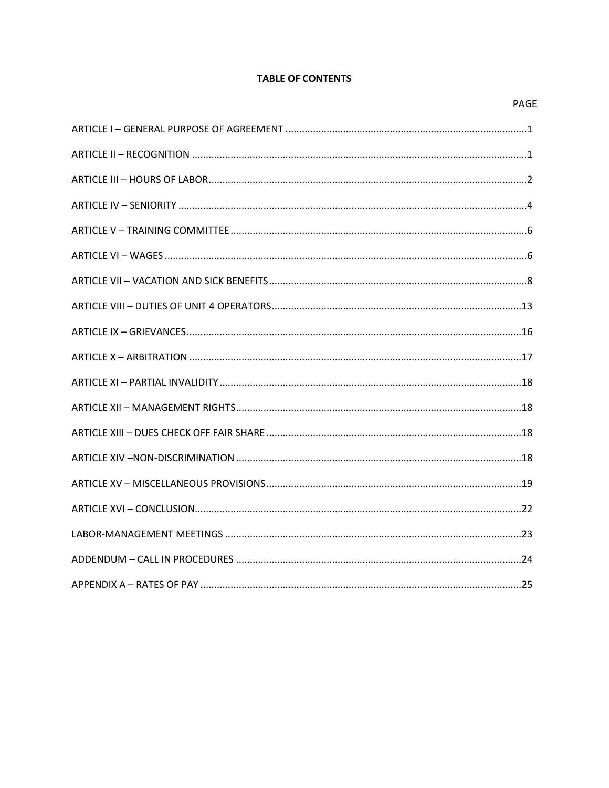## **TABLE OF CONTENTS**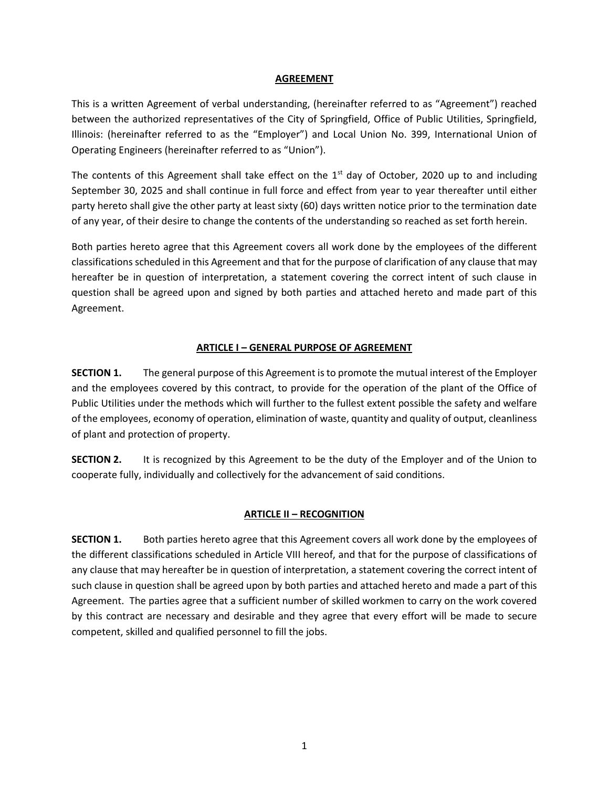#### **AGREEMENT**

This is a written Agreement of verbal understanding, (hereinafter referred to as "Agreement") reached between the authorized representatives of the City of Springfield, Office of Public Utilities, Springfield, Illinois: (hereinafter referred to as the "Employer") and Local Union No. 399, International Union of Operating Engineers (hereinafter referred to as "Union").

The contents of this Agreement shall take effect on the 1<sup>st</sup> day of October, 2020 up to and including September 30, 2025 and shall continue in full force and effect from year to year thereafter until either party hereto shall give the other party at least sixty (60) days written notice prior to the termination date of any year, of their desire to change the contents of the understanding so reached as set forth herein.

Both parties hereto agree that this Agreement covers all work done by the employees of the different classifications scheduled in this Agreement and that for the purpose of clarification of any clause that may hereafter be in question of interpretation, a statement covering the correct intent of such clause in question shall be agreed upon and signed by both parties and attached hereto and made part of this Agreement.

## **ARTICLE I – GENERAL PURPOSE OF AGREEMENT**

<span id="page-2-0"></span>**SECTION 1.** The general purpose of this Agreement is to promote the mutual interest of the Employer and the employees covered by this contract, to provide for the operation of the plant of the Office of Public Utilities under the methods which will further to the fullest extent possible the safety and welfare of the employees, economy of operation, elimination of waste, quantity and quality of output, cleanliness of plant and protection of property.

<span id="page-2-1"></span>**SECTION 2.** It is recognized by this Agreement to be the duty of the Employer and of the Union to cooperate fully, individually and collectively for the advancement of said conditions.

## **ARTICLE II – RECOGNITION**

**SECTION 1.** Both parties hereto agree that this Agreement covers all work done by the employees of the different classifications scheduled in Article VIII hereof, and that for the purpose of classifications of any clause that may hereafter be in question of interpretation, a statement covering the correct intent of such clause in question shall be agreed upon by both parties and attached hereto and made a part of this Agreement. The parties agree that a sufficient number of skilled workmen to carry on the work covered by this contract are necessary and desirable and they agree that every effort will be made to secure competent, skilled and qualified personnel to fill the jobs.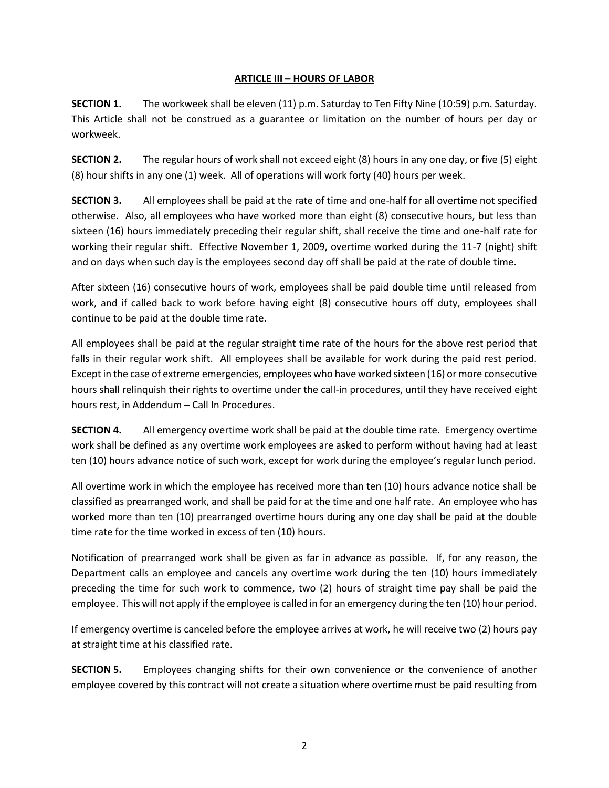## **ARTICLE III – HOURS OF LABOR**

<span id="page-3-0"></span>**SECTION 1.** The workweek shall be eleven (11) p.m. Saturday to Ten Fifty Nine (10:59) p.m. Saturday. This Article shall not be construed as a guarantee or limitation on the number of hours per day or workweek.

**SECTION 2.** The regular hours of work shall not exceed eight (8) hours in any one day, or five (5) eight (8) hour shifts in any one (1) week. All of operations will work forty (40) hours per week.

**SECTION 3.** All employees shall be paid at the rate of time and one-half for all overtime not specified otherwise. Also, all employees who have worked more than eight (8) consecutive hours, but less than sixteen (16) hours immediately preceding their regular shift, shall receive the time and one-half rate for working their regular shift. Effective November 1, 2009, overtime worked during the 11-7 (night) shift and on days when such day is the employees second day off shall be paid at the rate of double time.

After sixteen (16) consecutive hours of work, employees shall be paid double time until released from work, and if called back to work before having eight (8) consecutive hours off duty, employees shall continue to be paid at the double time rate.

All employees shall be paid at the regular straight time rate of the hours for the above rest period that falls in their regular work shift. All employees shall be available for work during the paid rest period. Except in the case of extreme emergencies, employees who have worked sixteen (16) or more consecutive hours shall relinquish their rights to overtime under the call-in procedures, until they have received eight hours rest, in Addendum – Call In Procedures.

**SECTION 4.** All emergency overtime work shall be paid at the double time rate. Emergency overtime work shall be defined as any overtime work employees are asked to perform without having had at least ten (10) hours advance notice of such work, except for work during the employee's regular lunch period.

All overtime work in which the employee has received more than ten (10) hours advance notice shall be classified as prearranged work, and shall be paid for at the time and one half rate. An employee who has worked more than ten (10) prearranged overtime hours during any one day shall be paid at the double time rate for the time worked in excess of ten (10) hours.

Notification of prearranged work shall be given as far in advance as possible. If, for any reason, the Department calls an employee and cancels any overtime work during the ten (10) hours immediately preceding the time for such work to commence, two (2) hours of straight time pay shall be paid the employee. This will not apply if the employee is called in for an emergency during the ten (10) hour period.

If emergency overtime is canceled before the employee arrives at work, he will receive two (2) hours pay at straight time at his classified rate.

**SECTION 5.** Employees changing shifts for their own convenience or the convenience of another employee covered by this contract will not create a situation where overtime must be paid resulting from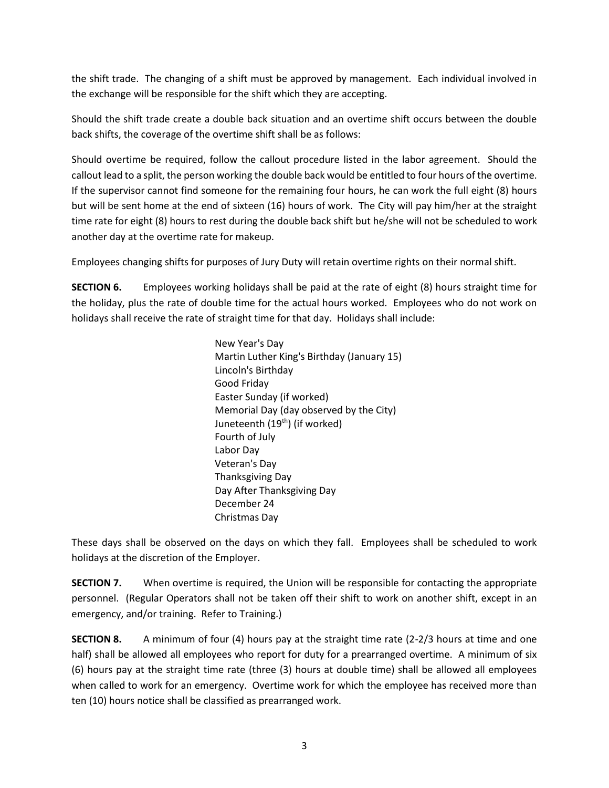the shift trade. The changing of a shift must be approved by management. Each individual involved in the exchange will be responsible for the shift which they are accepting.

Should the shift trade create a double back situation and an overtime shift occurs between the double back shifts, the coverage of the overtime shift shall be as follows:

Should overtime be required, follow the callout procedure listed in the labor agreement. Should the callout lead to a split, the person working the double back would be entitled to four hours of the overtime. If the supervisor cannot find someone for the remaining four hours, he can work the full eight (8) hours but will be sent home at the end of sixteen (16) hours of work. The City will pay him/her at the straight time rate for eight (8) hours to rest during the double back shift but he/she will not be scheduled to work another day at the overtime rate for makeup.

Employees changing shifts for purposes of Jury Duty will retain overtime rights on their normal shift.

**SECTION 6.** Employees working holidays shall be paid at the rate of eight (8) hours straight time for the holiday, plus the rate of double time for the actual hours worked. Employees who do not work on holidays shall receive the rate of straight time for that day. Holidays shall include:

> New Year's Day Martin Luther King's Birthday (January 15) Lincoln's Birthday Good Friday Easter Sunday (if worked) Memorial Day (day observed by the City) Juneteenth (19<sup>th</sup>) (if worked) Fourth of July Labor Day Veteran's Day Thanksgiving Day Day After Thanksgiving Day December 24 Christmas Day

These days shall be observed on the days on which they fall. Employees shall be scheduled to work holidays at the discretion of the Employer.

**SECTION 7.** When overtime is required, the Union will be responsible for contacting the appropriate personnel. (Regular Operators shall not be taken off their shift to work on another shift, except in an emergency, and/or training. Refer to Training.)

**SECTION 8.** A minimum of four (4) hours pay at the straight time rate (2-2/3 hours at time and one half) shall be allowed all employees who report for duty for a prearranged overtime. A minimum of six (6) hours pay at the straight time rate (three (3) hours at double time) shall be allowed all employees when called to work for an emergency. Overtime work for which the employee has received more than ten (10) hours notice shall be classified as prearranged work.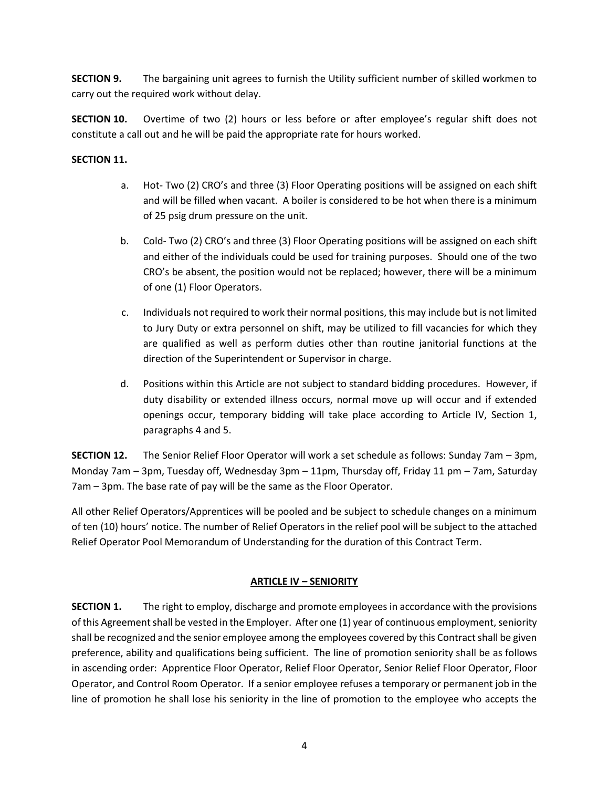**SECTION 9.** The bargaining unit agrees to furnish the Utility sufficient number of skilled workmen to carry out the required work without delay.

**SECTION 10.** Overtime of two (2) hours or less before or after employee's regular shift does not constitute a call out and he will be paid the appropriate rate for hours worked.

## **SECTION 11.**

- a. Hot- Two (2) CRO's and three (3) Floor Operating positions will be assigned on each shift and will be filled when vacant. A boiler is considered to be hot when there is a minimum of 25 psig drum pressure on the unit.
- b. Cold- Two (2) CRO's and three (3) Floor Operating positions will be assigned on each shift and either of the individuals could be used for training purposes. Should one of the two CRO's be absent, the position would not be replaced; however, there will be a minimum of one (1) Floor Operators.
- c. Individuals not required to work their normal positions, this may include but is not limited to Jury Duty or extra personnel on shift, may be utilized to fill vacancies for which they are qualified as well as perform duties other than routine janitorial functions at the direction of the Superintendent or Supervisor in charge.
- d. Positions within this Article are not subject to standard bidding procedures. However, if duty disability or extended illness occurs, normal move up will occur and if extended openings occur, temporary bidding will take place according to Article IV, Section 1, paragraphs 4 and 5.

**SECTION 12.** The Senior Relief Floor Operator will work a set schedule as follows: Sunday 7am – 3pm, Monday 7am – 3pm, Tuesday off, Wednesday 3pm – 11pm, Thursday off, Friday 11 pm – 7am, Saturday 7am – 3pm. The base rate of pay will be the same as the Floor Operator.

All other Relief Operators/Apprentices will be pooled and be subject to schedule changes on a minimum of ten (10) hours' notice. The number of Relief Operators in the relief pool will be subject to the attached Relief Operator Pool Memorandum of Understanding for the duration of this Contract Term.

## **ARTICLE IV – SENIORITY**

<span id="page-5-0"></span>**SECTION 1.** The right to employ, discharge and promote employees in accordance with the provisions of this Agreement shall be vested in the Employer. After one (1) year of continuous employment, seniority shall be recognized and the senior employee among the employees covered by this Contract shall be given preference, ability and qualifications being sufficient. The line of promotion seniority shall be as follows in ascending order: Apprentice Floor Operator, Relief Floor Operator, Senior Relief Floor Operator, Floor Operator, and Control Room Operator. If a senior employee refuses a temporary or permanent job in the line of promotion he shall lose his seniority in the line of promotion to the employee who accepts the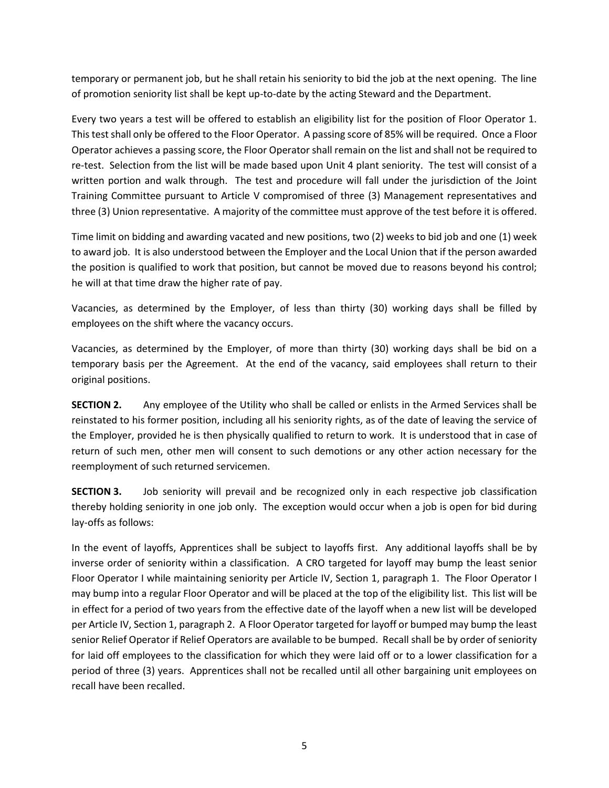temporary or permanent job, but he shall retain his seniority to bid the job at the next opening. The line of promotion seniority list shall be kept up-to-date by the acting Steward and the Department.

Every two years a test will be offered to establish an eligibility list for the position of Floor Operator 1. This test shall only be offered to the Floor Operator. A passing score of 85% will be required. Once a Floor Operator achieves a passing score, the Floor Operator shall remain on the list and shall not be required to re-test. Selection from the list will be made based upon Unit 4 plant seniority. The test will consist of a written portion and walk through. The test and procedure will fall under the jurisdiction of the Joint Training Committee pursuant to Article V compromised of three (3) Management representatives and three (3) Union representative. A majority of the committee must approve of the test before it is offered.

Time limit on bidding and awarding vacated and new positions, two (2) weeks to bid job and one (1) week to award job. It is also understood between the Employer and the Local Union that if the person awarded the position is qualified to work that position, but cannot be moved due to reasons beyond his control; he will at that time draw the higher rate of pay.

Vacancies, as determined by the Employer, of less than thirty (30) working days shall be filled by employees on the shift where the vacancy occurs.

Vacancies, as determined by the Employer, of more than thirty (30) working days shall be bid on a temporary basis per the Agreement. At the end of the vacancy, said employees shall return to their original positions.

**SECTION 2.** Any employee of the Utility who shall be called or enlists in the Armed Services shall be reinstated to his former position, including all his seniority rights, as of the date of leaving the service of the Employer, provided he is then physically qualified to return to work. It is understood that in case of return of such men, other men will consent to such demotions or any other action necessary for the reemployment of such returned servicemen.

**SECTION 3.** Job seniority will prevail and be recognized only in each respective job classification thereby holding seniority in one job only. The exception would occur when a job is open for bid during lay-offs as follows:

In the event of layoffs, Apprentices shall be subject to layoffs first. Any additional layoffs shall be by inverse order of seniority within a classification. A CRO targeted for layoff may bump the least senior Floor Operator I while maintaining seniority per Article IV, Section 1, paragraph 1. The Floor Operator I may bump into a regular Floor Operator and will be placed at the top of the eligibility list. This list will be in effect for a period of two years from the effective date of the layoff when a new list will be developed per Article IV, Section 1, paragraph 2. A Floor Operator targeted for layoff or bumped may bump the least senior Relief Operator if Relief Operators are available to be bumped. Recall shall be by order of seniority for laid off employees to the classification for which they were laid off or to a lower classification for a period of three (3) years. Apprentices shall not be recalled until all other bargaining unit employees on recall have been recalled.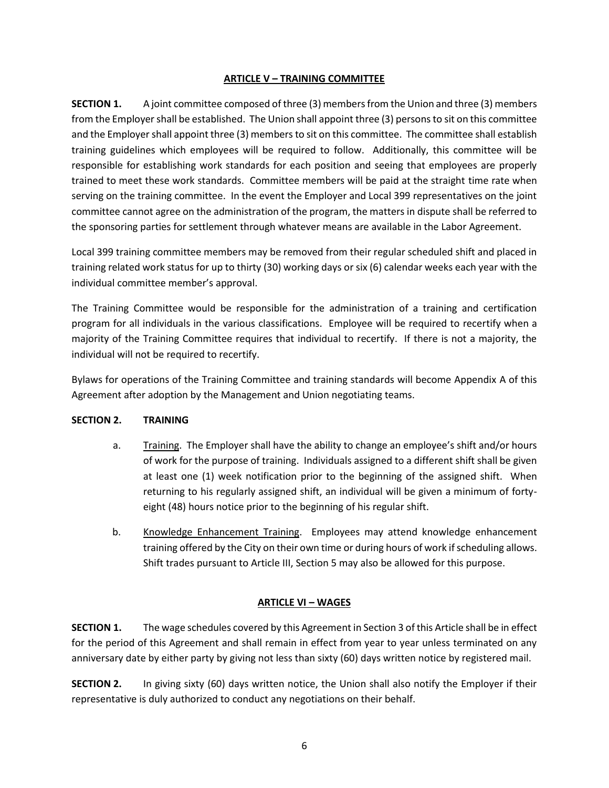### **ARTICLE V – TRAINING COMMITTEE**

<span id="page-7-0"></span>**SECTION 1.** A joint committee composed of three (3) members from the Union and three (3) members from the Employer shall be established. The Union shall appoint three (3) persons to sit on this committee and the Employer shall appoint three (3) members to sit on this committee. The committee shall establish training guidelines which employees will be required to follow. Additionally, this committee will be responsible for establishing work standards for each position and seeing that employees are properly trained to meet these work standards. Committee members will be paid at the straight time rate when serving on the training committee. In the event the Employer and Local 399 representatives on the joint committee cannot agree on the administration of the program, the matters in dispute shall be referred to the sponsoring parties for settlement through whatever means are available in the Labor Agreement.

Local 399 training committee members may be removed from their regular scheduled shift and placed in training related work status for up to thirty (30) working days or six (6) calendar weeks each year with the individual committee member's approval.

The Training Committee would be responsible for the administration of a training and certification program for all individuals in the various classifications. Employee will be required to recertify when a majority of the Training Committee requires that individual to recertify. If there is not a majority, the individual will not be required to recertify.

Bylaws for operations of the Training Committee and training standards will become Appendix A of this Agreement after adoption by the Management and Union negotiating teams.

#### **SECTION 2. TRAINING**

- a. Training. The Employer shall have the ability to change an employee's shift and/or hours of work for the purpose of training. Individuals assigned to a different shift shall be given at least one (1) week notification prior to the beginning of the assigned shift. When returning to his regularly assigned shift, an individual will be given a minimum of fortyeight (48) hours notice prior to the beginning of his regular shift.
- b. Knowledge Enhancement Training. Employees may attend knowledge enhancement training offered by the City on their own time or during hours of work if scheduling allows. Shift trades pursuant to Article III, Section 5 may also be allowed for this purpose.

## **ARTICLE VI – WAGES**

<span id="page-7-1"></span>**SECTION 1.** The wage schedules covered by this Agreement in Section 3 of this Article shall be in effect for the period of this Agreement and shall remain in effect from year to year unless terminated on any anniversary date by either party by giving not less than sixty (60) days written notice by registered mail.

**SECTION 2.** In giving sixty (60) days written notice, the Union shall also notify the Employer if their representative is duly authorized to conduct any negotiations on their behalf.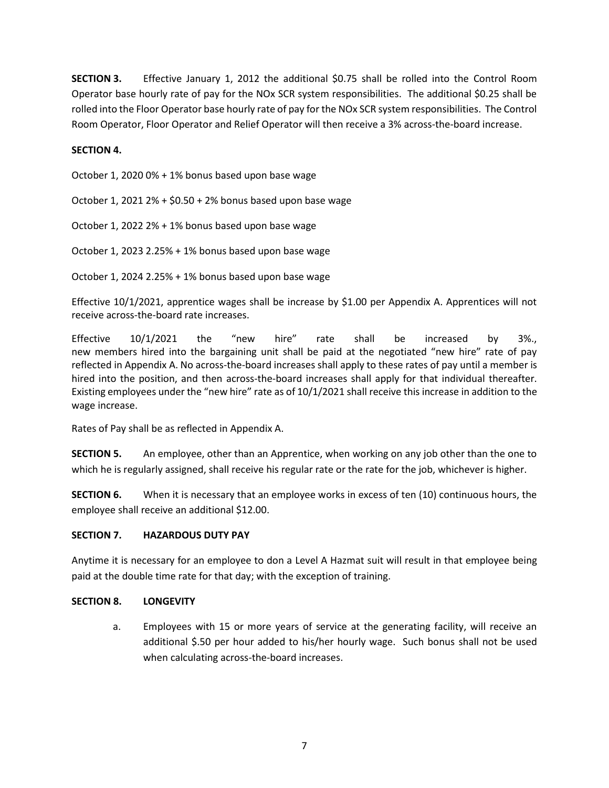**SECTION 3.** Effective January 1, 2012 the additional \$0.75 shall be rolled into the Control Room Operator base hourly rate of pay for the NOx SCR system responsibilities. The additional \$0.25 shall be rolled into the Floor Operator base hourly rate of pay for the NOx SCR system responsibilities. The Control Room Operator, Floor Operator and Relief Operator will then receive a 3% across-the-board increase.

## **SECTION 4.**

October 1, 2020 0% + 1% bonus based upon base wage

October 1, 2021 2% + \$0.50 + 2% bonus based upon base wage

October 1, 2022 2% + 1% bonus based upon base wage

October 1, 2023 2.25% + 1% bonus based upon base wage

October 1, 2024 2.25% + 1% bonus based upon base wage

Effective 10/1/2021, apprentice wages shall be increase by \$1.00 per Appendix A. Apprentices will not receive across‐the‐board rate increases.

Effective 10/1/2021 the "new hire" rate shall be increased by 3%., new members hired into the bargaining unit shall be paid at the negotiated "new hire" rate of pay reflected in Appendix A. No across-the-board increases shall apply to these rates of pay until a member is hired into the position, and then across-the-board increases shall apply for that individual thereafter. Existing employees under the "new hire" rate as of 10/1/2021 shall receive this increase in addition to the wage increase.

Rates of Pay shall be as reflected in Appendix A.

**SECTION 5.** An employee, other than an Apprentice, when working on any job other than the one to which he is regularly assigned, shall receive his regular rate or the rate for the job, whichever is higher.

**SECTION 6.** When it is necessary that an employee works in excess of ten (10) continuous hours, the employee shall receive an additional \$12.00.

#### **SECTION 7. HAZARDOUS DUTY PAY**

Anytime it is necessary for an employee to don a Level A Hazmat suit will result in that employee being paid at the double time rate for that day; with the exception of training.

#### **SECTION 8. LONGEVITY**

a. Employees with 15 or more years of service at the generating facility, will receive an additional \$.50 per hour added to his/her hourly wage. Such bonus shall not be used when calculating across-the-board increases.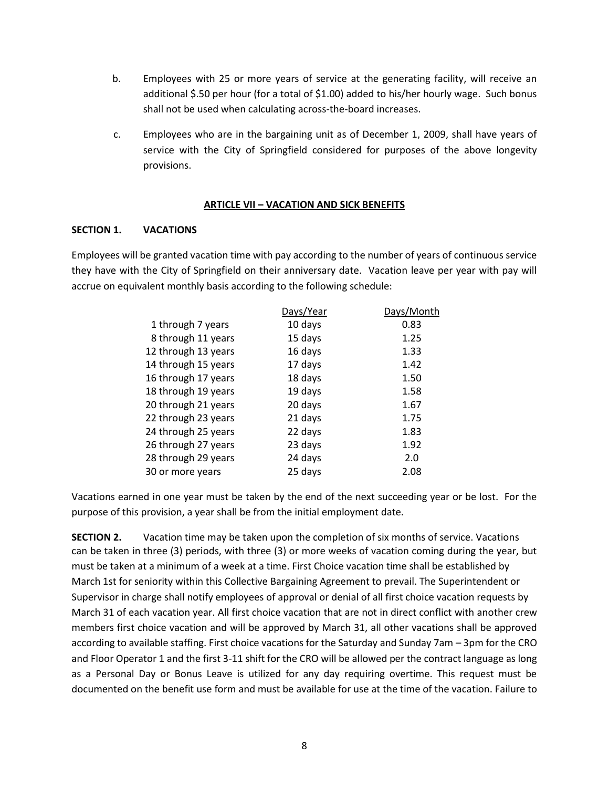- b. Employees with 25 or more years of service at the generating facility, will receive an additional \$.50 per hour (for a total of \$1.00) added to his/her hourly wage. Such bonus shall not be used when calculating across-the-board increases.
- c. Employees who are in the bargaining unit as of December 1, 2009, shall have years of service with the City of Springfield considered for purposes of the above longevity provisions.

#### **ARTICLE VII – VACATION AND SICK BENEFITS**

#### <span id="page-9-0"></span>**SECTION 1. VACATIONS**

Employees will be granted vacation time with pay according to the number of years of continuous service they have with the City of Springfield on their anniversary date. Vacation leave per year with pay will accrue on equivalent monthly basis according to the following schedule:

|                     | Days/Year | Days/Month |
|---------------------|-----------|------------|
| 1 through 7 years   | 10 days   | 0.83       |
| 8 through 11 years  | 15 days   | 1.25       |
| 12 through 13 years | 16 days   | 1.33       |
| 14 through 15 years | 17 days   | 1.42       |
| 16 through 17 years | 18 days   | 1.50       |
| 18 through 19 years | 19 days   | 1.58       |
| 20 through 21 years | 20 days   | 1.67       |
| 22 through 23 years | 21 days   | 1.75       |
| 24 through 25 years | 22 days   | 1.83       |
| 26 through 27 years | 23 days   | 1.92       |
| 28 through 29 years | 24 days   | 2.0        |
| 30 or more years    | 25 days   | 2.08       |
|                     |           |            |

Vacations earned in one year must be taken by the end of the next succeeding year or be lost. For the purpose of this provision, a year shall be from the initial employment date.

**SECTION 2.** Vacation time may be taken upon the completion of six months of service. Vacations can be taken in three (3) periods, with three (3) or more weeks of vacation coming during the year, but must be taken at a minimum of a week at a time. First Choice vacation time shall be established by March 1st for seniority within this Collective Bargaining Agreement to prevail. The Superintendent or Supervisor in charge shall notify employees of approval or denial of all first choice vacation requests by March 31 of each vacation year. All first choice vacation that are not in direct conflict with another crew members first choice vacation and will be approved by March 31, all other vacations shall be approved according to available staffing. First choice vacations for the Saturday and Sunday 7am – 3pm for the CRO and Floor Operator 1 and the first 3-11 shift for the CRO will be allowed per the contract language as long as a Personal Day or Bonus Leave is utilized for any day requiring overtime. This request must be documented on the benefit use form and must be available for use at the time of the vacation. Failure to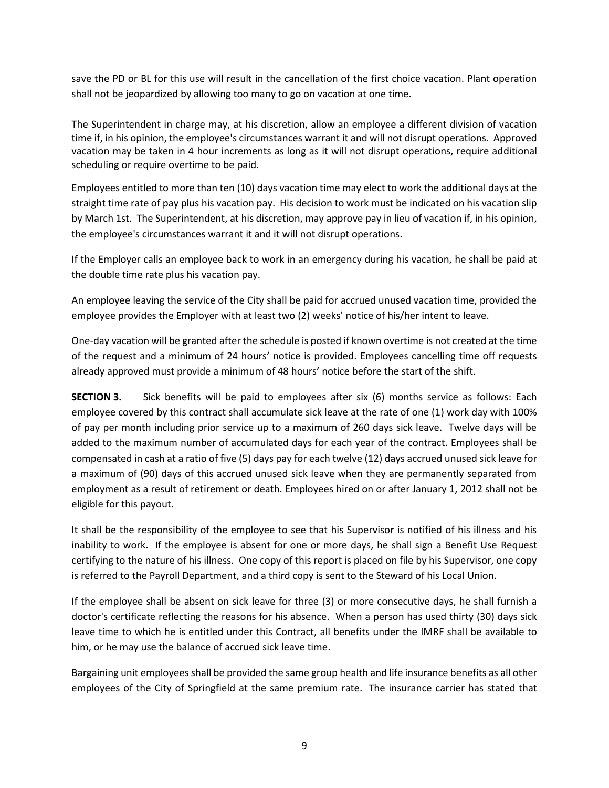save the PD or BL for this use will result in the cancellation of the first choice vacation. Plant operation shall not be jeopardized by allowing too many to go on vacation at one time.

The Superintendent in charge may, at his discretion, allow an employee a different division of vacation time if, in his opinion, the employee's circumstances warrant it and will not disrupt operations. Approved vacation may be taken in 4 hour increments as long as it will not disrupt operations, require additional scheduling or require overtime to be paid.

Employees entitled to more than ten (10) days vacation time may elect to work the additional days at the straight time rate of pay plus his vacation pay. His decision to work must be indicated on his vacation slip by March 1st. The Superintendent, at his discretion, may approve pay in lieu of vacation if, in his opinion, the employee's circumstances warrant it and it will not disrupt operations.

If the Employer calls an employee back to work in an emergency during his vacation, he shall be paid at the double time rate plus his vacation pay.

An employee leaving the service of the City shall be paid for accrued unused vacation time, provided the employee provides the Employer with at least two (2) weeks' notice of his/her intent to leave.

One-day vacation will be granted after the schedule is posted if known overtime is not created at the time of the request and a minimum of 24 hours' notice is provided. Employees cancelling time off requests already approved must provide a minimum of 48 hours' notice before the start of the shift.

**SECTION 3.** Sick benefits will be paid to employees after six (6) months service as follows: Each employee covered by this contract shall accumulate sick leave at the rate of one (1) work day with 100% of pay per month including prior service up to a maximum of 260 days sick leave. Twelve days will be added to the maximum number of accumulated days for each year of the contract. Employees shall be compensated in cash at a ratio of five (5) days pay for each twelve (12) days accrued unused sick leave for a maximum of (90) days of this accrued unused sick leave when they are permanently separated from employment as a result of retirement or death. Employees hired on or after January 1, 2012 shall not be eligible for this payout.

It shall be the responsibility of the employee to see that his Supervisor is notified of his illness and his inability to work. If the employee is absent for one or more days, he shall sign a Benefit Use Request certifying to the nature of his illness. One copy of this report is placed on file by his Supervisor, one copy is referred to the Payroll Department, and a third copy is sent to the Steward of his Local Union.

If the employee shall be absent on sick leave for three (3) or more consecutive days, he shall furnish a doctor's certificate reflecting the reasons for his absence. When a person has used thirty (30) days sick leave time to which he is entitled under this Contract, all benefits under the IMRF shall be available to him, or he may use the balance of accrued sick leave time.

Bargaining unit employees shall be provided the same group health and life insurance benefits as all other employees of the City of Springfield at the same premium rate. The insurance carrier has stated that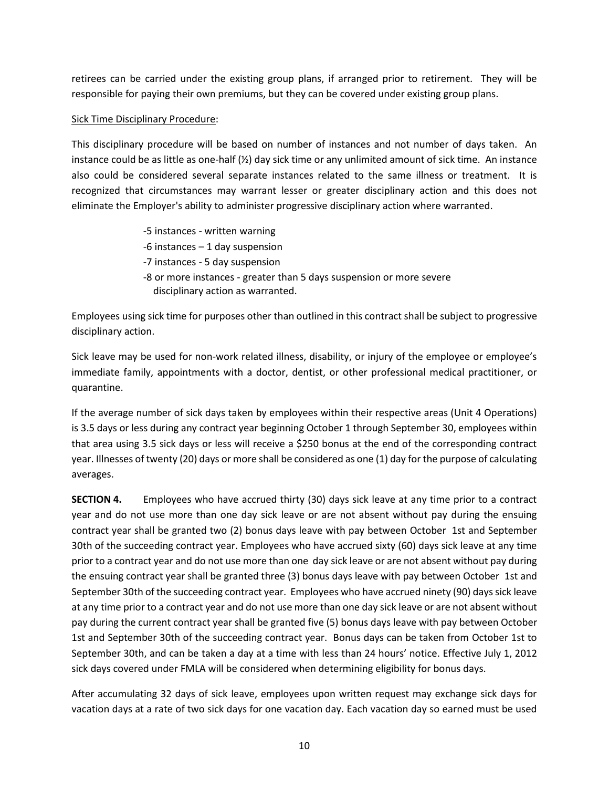retirees can be carried under the existing group plans, if arranged prior to retirement. They will be responsible for paying their own premiums, but they can be covered under existing group plans.

### Sick Time Disciplinary Procedure:

This disciplinary procedure will be based on number of instances and not number of days taken. An instance could be as little as one-half  $\left(\frac{1}{2}\right)$  day sick time or any unlimited amount of sick time. An instance also could be considered several separate instances related to the same illness or treatment. It is recognized that circumstances may warrant lesser or greater disciplinary action and this does not eliminate the Employer's ability to administer progressive disciplinary action where warranted.

- -5 instances written warning
- -6 instances 1 day suspension
- -7 instances 5 day suspension
- -8 or more instances greater than 5 days suspension or more severe disciplinary action as warranted.

Employees using sick time for purposes other than outlined in this contract shall be subject to progressive disciplinary action.

Sick leave may be used for non-work related illness, disability, or injury of the employee or employee's immediate family, appointments with a doctor, dentist, or other professional medical practitioner, or quarantine.

If the average number of sick days taken by employees within their respective areas (Unit 4 Operations) is 3.5 days or less during any contract year beginning October 1 through September 30, employees within that area using 3.5 sick days or less will receive a \$250 bonus at the end of the corresponding contract year. Illnesses of twenty (20) days or more shall be considered as one (1) day for the purpose of calculating averages.

**SECTION 4.** Employees who have accrued thirty (30) days sick leave at any time prior to a contract year and do not use more than one day sick leave or are not absent without pay during the ensuing contract year shall be granted two (2) bonus days leave with pay between October 1st and September 30th of the succeeding contract year. Employees who have accrued sixty (60) days sick leave at any time prior to a contract year and do not use more than one day sick leave or are not absent without pay during the ensuing contract year shall be granted three (3) bonus days leave with pay between October 1st and September 30th of the succeeding contract year. Employees who have accrued ninety (90) days sick leave at any time prior to a contract year and do not use more than one day sick leave or are not absent without pay during the current contract year shall be granted five (5) bonus days leave with pay between October 1st and September 30th of the succeeding contract year. Bonus days can be taken from October 1st to September 30th, and can be taken a day at a time with less than 24 hours' notice. Effective July 1, 2012 sick days covered under FMLA will be considered when determining eligibility for bonus days.

After accumulating 32 days of sick leave, employees upon written request may exchange sick days for vacation days at a rate of two sick days for one vacation day. Each vacation day so earned must be used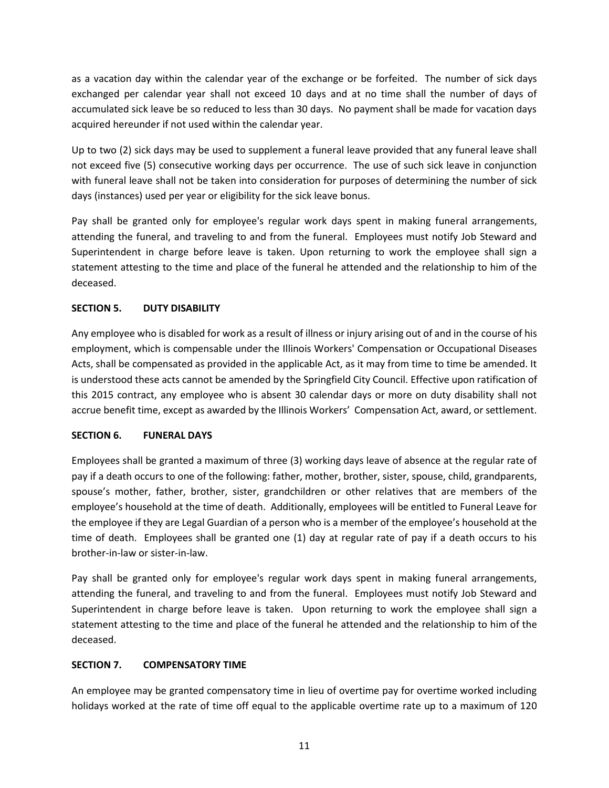as a vacation day within the calendar year of the exchange or be forfeited. The number of sick days exchanged per calendar year shall not exceed 10 days and at no time shall the number of days of accumulated sick leave be so reduced to less than 30 days. No payment shall be made for vacation days acquired hereunder if not used within the calendar year.

Up to two (2) sick days may be used to supplement a funeral leave provided that any funeral leave shall not exceed five (5) consecutive working days per occurrence. The use of such sick leave in conjunction with funeral leave shall not be taken into consideration for purposes of determining the number of sick days (instances) used per year or eligibility for the sick leave bonus.

Pay shall be granted only for employee's regular work days spent in making funeral arrangements, attending the funeral, and traveling to and from the funeral. Employees must notify Job Steward and Superintendent in charge before leave is taken. Upon returning to work the employee shall sign a statement attesting to the time and place of the funeral he attended and the relationship to him of the deceased.

## **SECTION 5. DUTY DISABILITY**

Any employee who is disabled for work as a result of illness or injury arising out of and in the course of his employment, which is compensable under the Illinois Workers' Compensation or Occupational Diseases Acts, shall be compensated as provided in the applicable Act, as it may from time to time be amended. It is understood these acts cannot be amended by the Springfield City Council. Effective upon ratification of this 2015 contract, any employee who is absent 30 calendar days or more on duty disability shall not accrue benefit time, except as awarded by the Illinois Workers' Compensation Act, award, or settlement.

## **SECTION 6. FUNERAL DAYS**

Employees shall be granted a maximum of three (3) working days leave of absence at the regular rate of pay if a death occurs to one of the following: father, mother, brother, sister, spouse, child, grandparents, spouse's mother, father, brother, sister, grandchildren or other relatives that are members of the employee's household at the time of death. Additionally, employees will be entitled to Funeral Leave for the employee if they are Legal Guardian of a person who is a member of the employee's household at the time of death. Employees shall be granted one (1) day at regular rate of pay if a death occurs to his brother-in-law or sister-in-law.

Pay shall be granted only for employee's regular work days spent in making funeral arrangements, attending the funeral, and traveling to and from the funeral. Employees must notify Job Steward and Superintendent in charge before leave is taken. Upon returning to work the employee shall sign a statement attesting to the time and place of the funeral he attended and the relationship to him of the deceased.

## **SECTION 7. COMPENSATORY TIME**

An employee may be granted compensatory time in lieu of overtime pay for overtime worked including holidays worked at the rate of time off equal to the applicable overtime rate up to a maximum of 120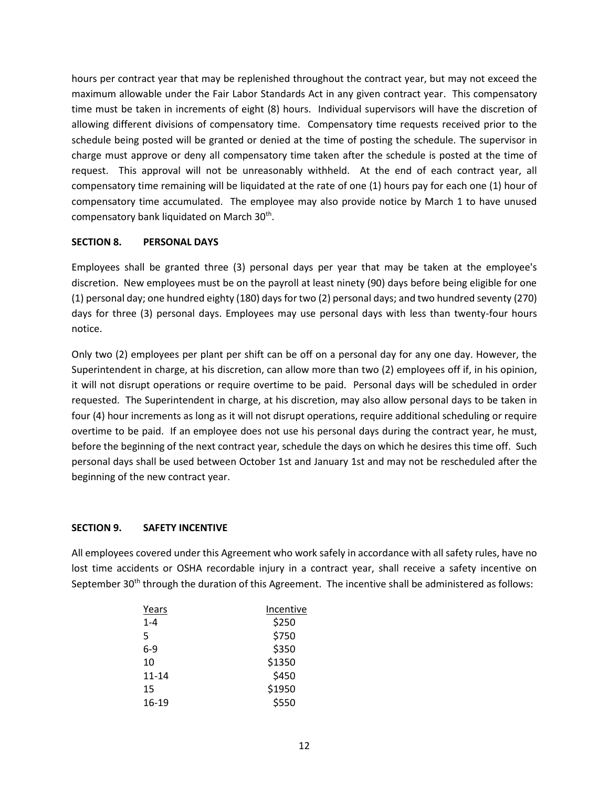hours per contract year that may be replenished throughout the contract year, but may not exceed the maximum allowable under the Fair Labor Standards Act in any given contract year. This compensatory time must be taken in increments of eight (8) hours. Individual supervisors will have the discretion of allowing different divisions of compensatory time. Compensatory time requests received prior to the schedule being posted will be granted or denied at the time of posting the schedule. The supervisor in charge must approve or deny all compensatory time taken after the schedule is posted at the time of request. This approval will not be unreasonably withheld. At the end of each contract year, all compensatory time remaining will be liquidated at the rate of one (1) hours pay for each one (1) hour of compensatory time accumulated. The employee may also provide notice by March 1 to have unused compensatory bank liquidated on March 30<sup>th</sup>.

#### **SECTION 8. PERSONAL DAYS**

Employees shall be granted three (3) personal days per year that may be taken at the employee's discretion. New employees must be on the payroll at least ninety (90) days before being eligible for one (1) personal day; one hundred eighty (180) days for two (2) personal days; and two hundred seventy (270) days for three (3) personal days. Employees may use personal days with less than twenty-four hours notice.

Only two (2) employees per plant per shift can be off on a personal day for any one day. However, the Superintendent in charge, at his discretion, can allow more than two (2) employees off if, in his opinion, it will not disrupt operations or require overtime to be paid. Personal days will be scheduled in order requested. The Superintendent in charge, at his discretion, may also allow personal days to be taken in four (4) hour increments as long as it will not disrupt operations, require additional scheduling or require overtime to be paid. If an employee does not use his personal days during the contract year, he must, before the beginning of the next contract year, schedule the days on which he desires this time off. Such personal days shall be used between October 1st and January 1st and may not be rescheduled after the beginning of the new contract year.

## **SECTION 9. SAFETY INCENTIVE**

All employees covered under this Agreement who work safely in accordance with all safety rules, have no lost time accidents or OSHA recordable injury in a contract year, shall receive a safety incentive on September 30<sup>th</sup> through the duration of this Agreement. The incentive shall be administered as follows:

| Years     | Incentive |
|-----------|-----------|
| $1 - 4$   | \$250     |
| 5         | \$750     |
| $6-9$     | \$350     |
| 10        | \$1350    |
| $11 - 14$ | \$450     |
| 15        | \$1950    |
| 16-19     | \$550     |
|           |           |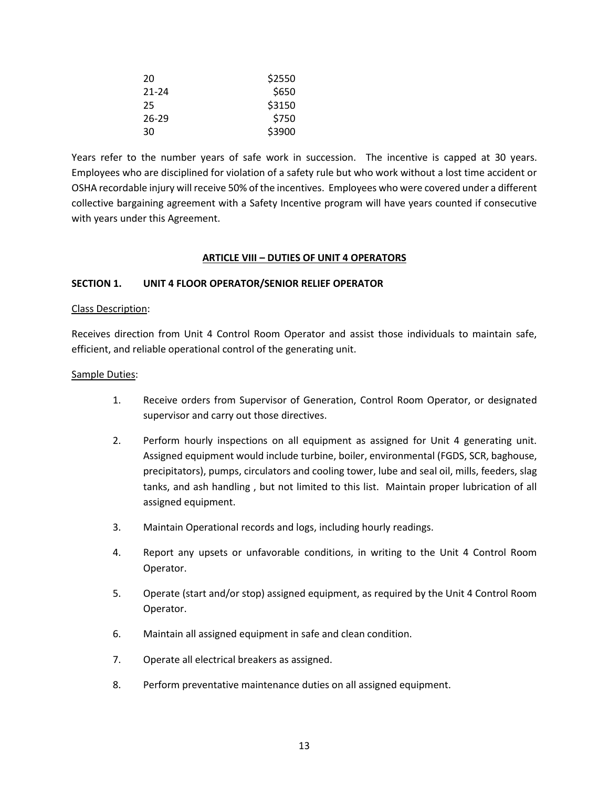| 20        | \$2550 |
|-----------|--------|
| 21-24     | \$650  |
| 25        | \$3150 |
| $26 - 29$ | \$750  |
| 30        | \$3900 |

Years refer to the number years of safe work in succession. The incentive is capped at 30 years. Employees who are disciplined for violation of a safety rule but who work without a lost time accident or OSHA recordable injury will receive 50% of the incentives. Employees who were covered under a different collective bargaining agreement with a Safety Incentive program will have years counted if consecutive with years under this Agreement.

## **ARTICLE VIII – DUTIES OF UNIT 4 OPERATORS**

#### <span id="page-14-0"></span>**SECTION 1. UNIT 4 FLOOR OPERATOR/SENIOR RELIEF OPERATOR**

#### Class Description:

Receives direction from Unit 4 Control Room Operator and assist those individuals to maintain safe, efficient, and reliable operational control of the generating unit.

#### Sample Duties:

- 1. Receive orders from Supervisor of Generation, Control Room Operator, or designated supervisor and carry out those directives.
- 2. Perform hourly inspections on all equipment as assigned for Unit 4 generating unit. Assigned equipment would include turbine, boiler, environmental (FGDS, SCR, baghouse, precipitators), pumps, circulators and cooling tower, lube and seal oil, mills, feeders, slag tanks, and ash handling , but not limited to this list. Maintain proper lubrication of all assigned equipment.
- 3. Maintain Operational records and logs, including hourly readings.
- 4. Report any upsets or unfavorable conditions, in writing to the Unit 4 Control Room Operator.
- 5. Operate (start and/or stop) assigned equipment, as required by the Unit 4 Control Room Operator.
- 6. Maintain all assigned equipment in safe and clean condition.
- 7. Operate all electrical breakers as assigned.
- 8. Perform preventative maintenance duties on all assigned equipment.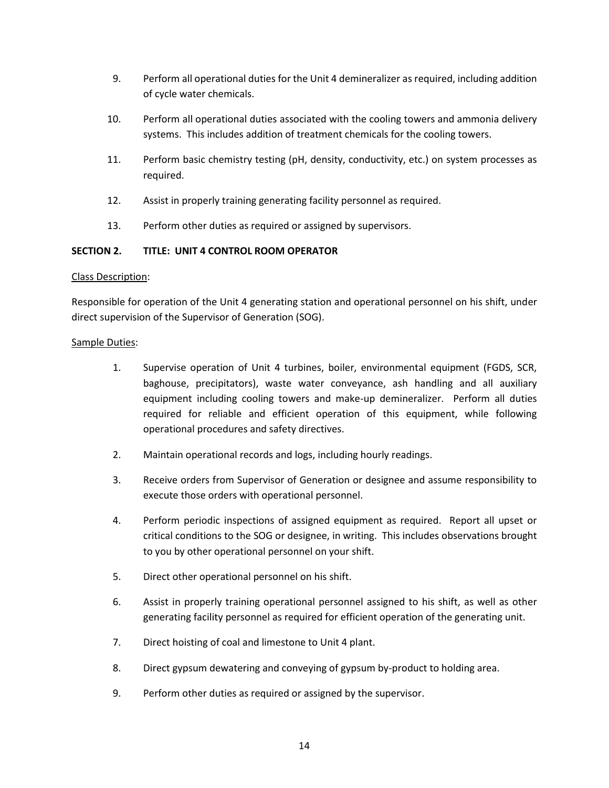- 9. Perform all operational duties for the Unit 4 demineralizer as required, including addition of cycle water chemicals.
- 10. Perform all operational duties associated with the cooling towers and ammonia delivery systems. This includes addition of treatment chemicals for the cooling towers.
- 11. Perform basic chemistry testing (pH, density, conductivity, etc.) on system processes as required.
- 12. Assist in properly training generating facility personnel as required.
- 13. Perform other duties as required or assigned by supervisors.

## **SECTION 2. TITLE: UNIT 4 CONTROL ROOM OPERATOR**

#### Class Description:

Responsible for operation of the Unit 4 generating station and operational personnel on his shift, under direct supervision of the Supervisor of Generation (SOG).

#### Sample Duties:

- 1. Supervise operation of Unit 4 turbines, boiler, environmental equipment (FGDS, SCR, baghouse, precipitators), waste water conveyance, ash handling and all auxiliary equipment including cooling towers and make-up demineralizer. Perform all duties required for reliable and efficient operation of this equipment, while following operational procedures and safety directives.
- 2. Maintain operational records and logs, including hourly readings.
- 3. Receive orders from Supervisor of Generation or designee and assume responsibility to execute those orders with operational personnel.
- 4. Perform periodic inspections of assigned equipment as required. Report all upset or critical conditions to the SOG or designee, in writing. This includes observations brought to you by other operational personnel on your shift.
- 5. Direct other operational personnel on his shift.
- 6. Assist in properly training operational personnel assigned to his shift, as well as other generating facility personnel as required for efficient operation of the generating unit.
- 7. Direct hoisting of coal and limestone to Unit 4 plant.
- 8. Direct gypsum dewatering and conveying of gypsum by-product to holding area.
- 9. Perform other duties as required or assigned by the supervisor.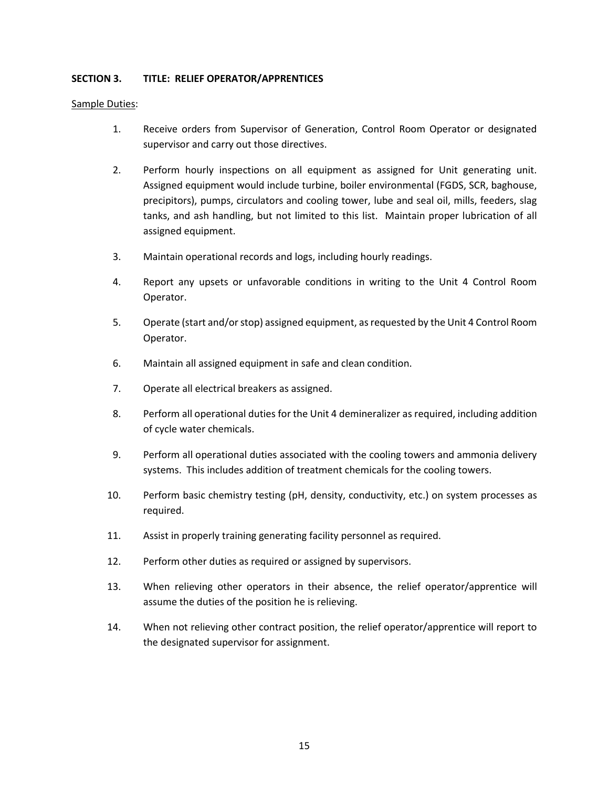### **SECTION 3. TITLE: RELIEF OPERATOR/APPRENTICES**

#### Sample Duties:

- 1. Receive orders from Supervisor of Generation, Control Room Operator or designated supervisor and carry out those directives.
- 2. Perform hourly inspections on all equipment as assigned for Unit generating unit. Assigned equipment would include turbine, boiler environmental (FGDS, SCR, baghouse, precipitors), pumps, circulators and cooling tower, lube and seal oil, mills, feeders, slag tanks, and ash handling, but not limited to this list. Maintain proper lubrication of all assigned equipment.
- 3. Maintain operational records and logs, including hourly readings.
- 4. Report any upsets or unfavorable conditions in writing to the Unit 4 Control Room Operator.
- 5. Operate (start and/or stop) assigned equipment, as requested by the Unit 4 Control Room Operator.
- 6. Maintain all assigned equipment in safe and clean condition.
- 7. Operate all electrical breakers as assigned.
- 8. Perform all operational duties for the Unit 4 demineralizer as required, including addition of cycle water chemicals.
- 9. Perform all operational duties associated with the cooling towers and ammonia delivery systems. This includes addition of treatment chemicals for the cooling towers.
- 10. Perform basic chemistry testing (pH, density, conductivity, etc.) on system processes as required.
- 11. Assist in properly training generating facility personnel as required.
- 12. Perform other duties as required or assigned by supervisors.
- 13. When relieving other operators in their absence, the relief operator/apprentice will assume the duties of the position he is relieving.
- 14. When not relieving other contract position, the relief operator/apprentice will report to the designated supervisor for assignment.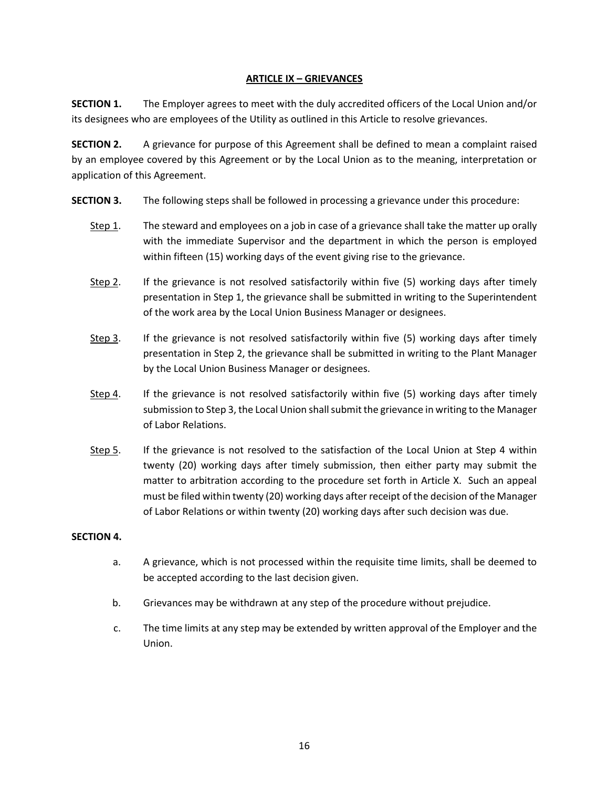## **ARTICLE IX – GRIEVANCES**

<span id="page-17-0"></span>**SECTION 1.** The Employer agrees to meet with the duly accredited officers of the Local Union and/or its designees who are employees of the Utility as outlined in this Article to resolve grievances.

**SECTION 2.** A grievance for purpose of this Agreement shall be defined to mean a complaint raised by an employee covered by this Agreement or by the Local Union as to the meaning, interpretation or application of this Agreement.

- **SECTION 3.** The following steps shall be followed in processing a grievance under this procedure:
	- Step 1. The steward and employees on a job in case of a grievance shall take the matter up orally with the immediate Supervisor and the department in which the person is employed within fifteen (15) working days of the event giving rise to the grievance.
	- Step 2. If the grievance is not resolved satisfactorily within five (5) working days after timely presentation in Step 1, the grievance shall be submitted in writing to the Superintendent of the work area by the Local Union Business Manager or designees.
	- Step 3. If the grievance is not resolved satisfactorily within five (5) working days after timely presentation in Step 2, the grievance shall be submitted in writing to the Plant Manager by the Local Union Business Manager or designees.
	- Step 4. If the grievance is not resolved satisfactorily within five (5) working days after timely submission to Step 3, the Local Union shall submit the grievance in writing to the Manager of Labor Relations.
	- Step 5. If the grievance is not resolved to the satisfaction of the Local Union at Step 4 within twenty (20) working days after timely submission, then either party may submit the matter to arbitration according to the procedure set forth in Article X. Such an appeal must be filed within twenty (20) working days after receipt of the decision of the Manager of Labor Relations or within twenty (20) working days after such decision was due.

#### **SECTION 4.**

- a. A grievance, which is not processed within the requisite time limits, shall be deemed to be accepted according to the last decision given.
- b. Grievances may be withdrawn at any step of the procedure without prejudice.
- c. The time limits at any step may be extended by written approval of the Employer and the Union.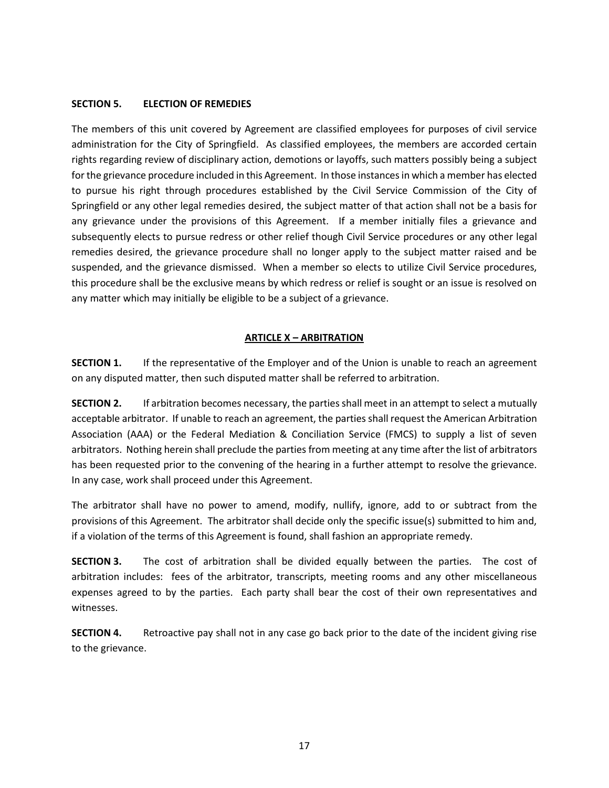### **SECTION 5. ELECTION OF REMEDIES**

The members of this unit covered by Agreement are classified employees for purposes of civil service administration for the City of Springfield. As classified employees, the members are accorded certain rights regarding review of disciplinary action, demotions or layoffs, such matters possibly being a subject for the grievance procedure included in this Agreement. In those instances in which a member has elected to pursue his right through procedures established by the Civil Service Commission of the City of Springfield or any other legal remedies desired, the subject matter of that action shall not be a basis for any grievance under the provisions of this Agreement. If a member initially files a grievance and subsequently elects to pursue redress or other relief though Civil Service procedures or any other legal remedies desired, the grievance procedure shall no longer apply to the subject matter raised and be suspended, and the grievance dismissed. When a member so elects to utilize Civil Service procedures, this procedure shall be the exclusive means by which redress or relief is sought or an issue is resolved on any matter which may initially be eligible to be a subject of a grievance.

#### **ARTICLE X – ARBITRATION**

<span id="page-18-0"></span>**SECTION 1.** If the representative of the Employer and of the Union is unable to reach an agreement on any disputed matter, then such disputed matter shall be referred to arbitration.

**SECTION 2.** If arbitration becomes necessary, the parties shall meet in an attempt to select a mutually acceptable arbitrator. If unable to reach an agreement, the parties shall request the American Arbitration Association (AAA) or the Federal Mediation & Conciliation Service (FMCS) to supply a list of seven arbitrators. Nothing herein shall preclude the parties from meeting at any time after the list of arbitrators has been requested prior to the convening of the hearing in a further attempt to resolve the grievance. In any case, work shall proceed under this Agreement.

The arbitrator shall have no power to amend, modify, nullify, ignore, add to or subtract from the provisions of this Agreement. The arbitrator shall decide only the specific issue(s) submitted to him and, if a violation of the terms of this Agreement is found, shall fashion an appropriate remedy.

**SECTION 3.** The cost of arbitration shall be divided equally between the parties. The cost of arbitration includes: fees of the arbitrator, transcripts, meeting rooms and any other miscellaneous expenses agreed to by the parties. Each party shall bear the cost of their own representatives and witnesses.

**SECTION 4.** Retroactive pay shall not in any case go back prior to the date of the incident giving rise to the grievance.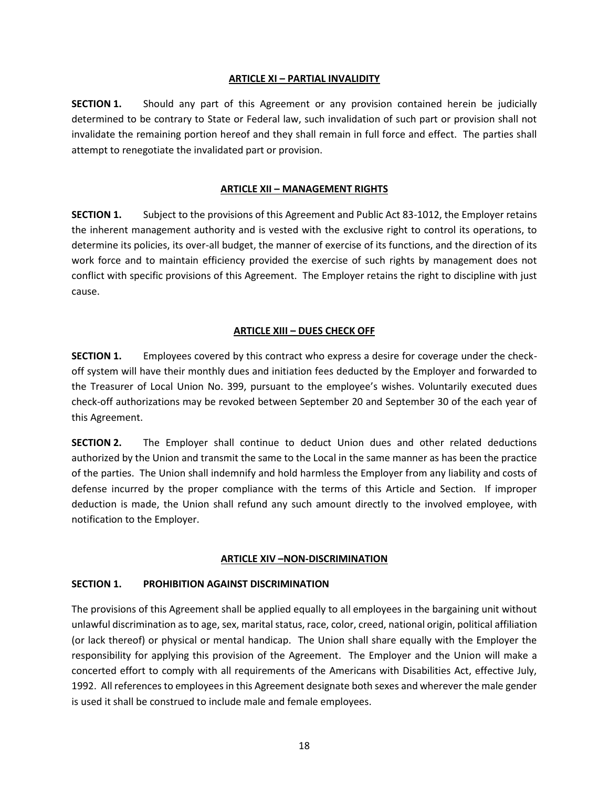#### **ARTICLE XI – PARTIAL INVALIDITY**

<span id="page-19-0"></span>**SECTION 1.** Should any part of this Agreement or any provision contained herein be judicially determined to be contrary to State or Federal law, such invalidation of such part or provision shall not invalidate the remaining portion hereof and they shall remain in full force and effect. The parties shall attempt to renegotiate the invalidated part or provision.

## **ARTICLE XII – MANAGEMENT RIGHTS**

<span id="page-19-1"></span>**SECTION 1.** Subject to the provisions of this Agreement and Public Act 83-1012, the Employer retains the inherent management authority and is vested with the exclusive right to control its operations, to determine its policies, its over-all budget, the manner of exercise of its functions, and the direction of its work force and to maintain efficiency provided the exercise of such rights by management does not conflict with specific provisions of this Agreement. The Employer retains the right to discipline with just cause.

## **ARTICLE XIII – DUES CHECK OFF**

<span id="page-19-2"></span>**SECTION 1.** Employees covered by this contract who express a desire for coverage under the checkoff system will have their monthly dues and initiation fees deducted by the Employer and forwarded to the Treasurer of Local Union No. 399, pursuant to the employee's wishes. Voluntarily executed dues check-off authorizations may be revoked between September 20 and September 30 of the each year of this Agreement.

**SECTION 2.** The Employer shall continue to deduct Union dues and other related deductions authorized by the Union and transmit the same to the Local in the same manner as has been the practice of the parties. The Union shall indemnify and hold harmless the Employer from any liability and costs of defense incurred by the proper compliance with the terms of this Article and Section. If improper deduction is made, the Union shall refund any such amount directly to the involved employee, with notification to the Employer.

#### **ARTICLE XIV –NON-DISCRIMINATION**

#### <span id="page-19-3"></span>**SECTION 1. PROHIBITION AGAINST DISCRIMINATION**

The provisions of this Agreement shall be applied equally to all employees in the bargaining unit without unlawful discrimination as to age, sex, marital status, race, color, creed, national origin, political affiliation (or lack thereof) or physical or mental handicap. The Union shall share equally with the Employer the responsibility for applying this provision of the Agreement. The Employer and the Union will make a concerted effort to comply with all requirements of the Americans with Disabilities Act, effective July, 1992. All references to employees in this Agreement designate both sexes and wherever the male gender is used it shall be construed to include male and female employees.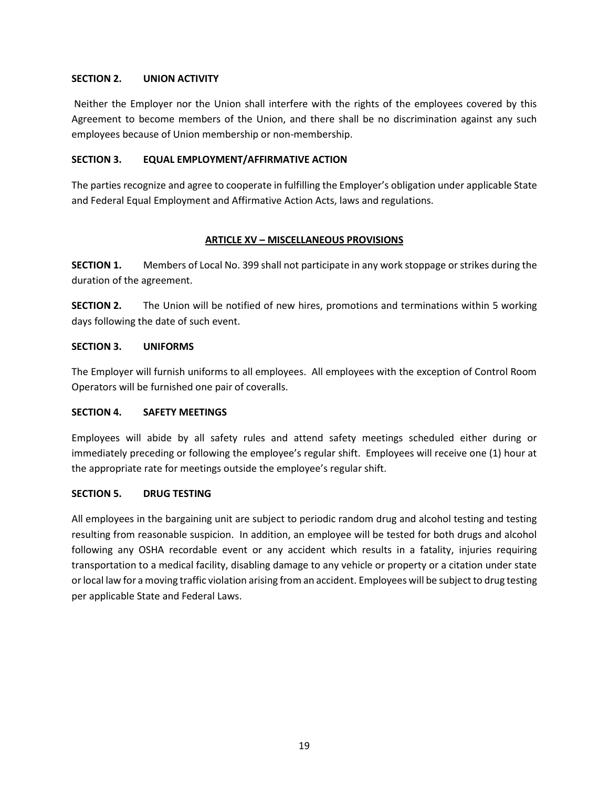### **SECTION 2. UNION ACTIVITY**

Neither the Employer nor the Union shall interfere with the rights of the employees covered by this Agreement to become members of the Union, and there shall be no discrimination against any such employees because of Union membership or non-membership.

### **SECTION 3. EQUAL EMPLOYMENT/AFFIRMATIVE ACTION**

The parties recognize and agree to cooperate in fulfilling the Employer's obligation under applicable State and Federal Equal Employment and Affirmative Action Acts, laws and regulations.

## **ARTICLE XV – MISCELLANEOUS PROVISIONS**

<span id="page-20-0"></span>**SECTION 1.** Members of Local No. 399 shall not participate in any work stoppage or strikes during the duration of the agreement.

**SECTION 2.** The Union will be notified of new hires, promotions and terminations within 5 working days following the date of such event.

## **SECTION 3. UNIFORMS**

The Employer will furnish uniforms to all employees. All employees with the exception of Control Room Operators will be furnished one pair of coveralls.

## **SECTION 4. SAFETY MEETINGS**

Employees will abide by all safety rules and attend safety meetings scheduled either during or immediately preceding or following the employee's regular shift. Employees will receive one (1) hour at the appropriate rate for meetings outside the employee's regular shift.

#### **SECTION 5. DRUG TESTING**

All employees in the bargaining unit are subject to periodic random drug and alcohol testing and testing resulting from reasonable suspicion. In addition, an employee will be tested for both drugs and alcohol following any OSHA recordable event or any accident which results in a fatality, injuries requiring transportation to a medical facility, disabling damage to any vehicle or property or a citation under state or local law for a moving traffic violation arising from an accident. Employees will be subject to drug testing per applicable State and Federal Laws.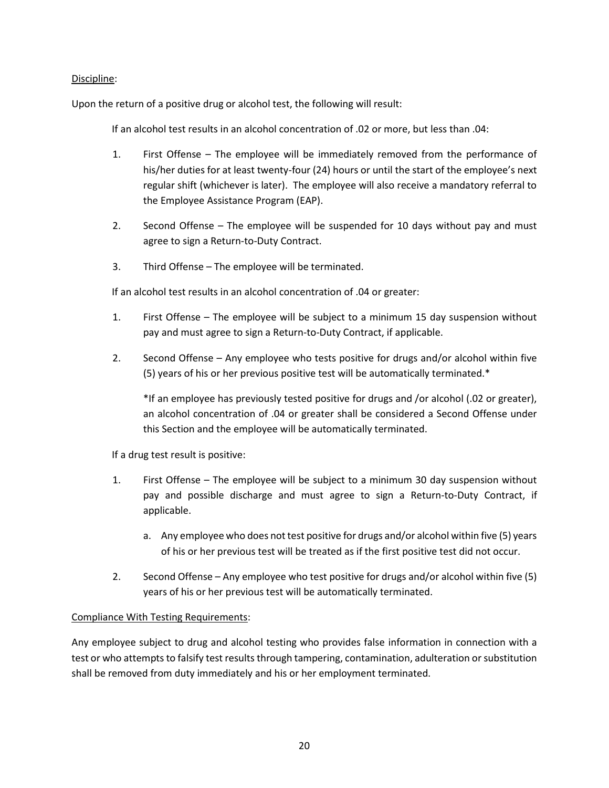## Discipline:

Upon the return of a positive drug or alcohol test, the following will result:

If an alcohol test results in an alcohol concentration of .02 or more, but less than .04:

- 1. First Offense The employee will be immediately removed from the performance of his/her duties for at least twenty-four (24) hours or until the start of the employee's next regular shift (whichever is later). The employee will also receive a mandatory referral to the Employee Assistance Program (EAP).
- 2. Second Offense The employee will be suspended for 10 days without pay and must agree to sign a Return-to-Duty Contract.
- 3. Third Offense The employee will be terminated.

If an alcohol test results in an alcohol concentration of .04 or greater:

- 1. First Offense The employee will be subject to a minimum 15 day suspension without pay and must agree to sign a Return-to-Duty Contract, if applicable.
- 2. Second Offense Any employee who tests positive for drugs and/or alcohol within five (5) years of his or her previous positive test will be automatically terminated.\*

\*If an employee has previously tested positive for drugs and /or alcohol (.02 or greater), an alcohol concentration of .04 or greater shall be considered a Second Offense under this Section and the employee will be automatically terminated.

If a drug test result is positive:

- 1. First Offense The employee will be subject to a minimum 30 day suspension without pay and possible discharge and must agree to sign a Return-to-Duty Contract, if applicable.
	- a. Any employee who does not test positive for drugs and/or alcohol within five (5) years of his or her previous test will be treated as if the first positive test did not occur.
- 2. Second Offense Any employee who test positive for drugs and/or alcohol within five (5) years of his or her previous test will be automatically terminated.

#### Compliance With Testing Requirements:

Any employee subject to drug and alcohol testing who provides false information in connection with a test or who attempts to falsify test results through tampering, contamination, adulteration or substitution shall be removed from duty immediately and his or her employment terminated.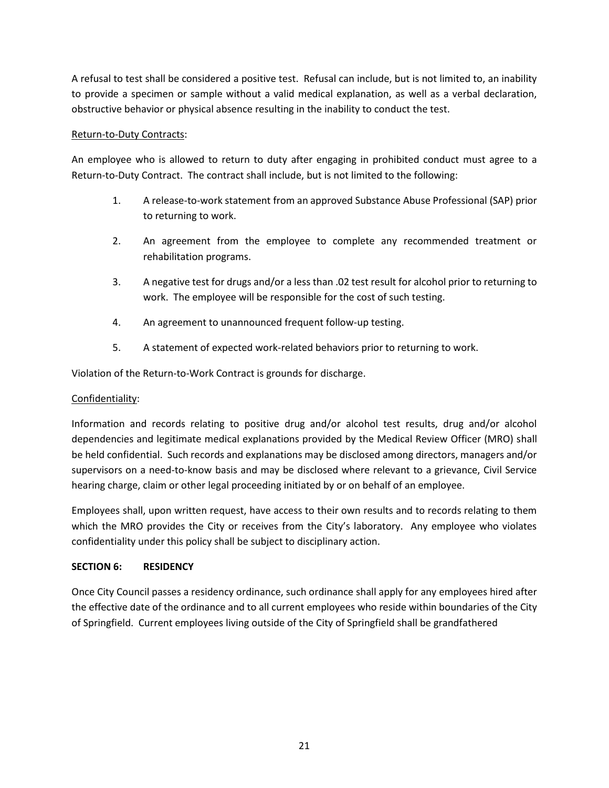A refusal to test shall be considered a positive test. Refusal can include, but is not limited to, an inability to provide a specimen or sample without a valid medical explanation, as well as a verbal declaration, obstructive behavior or physical absence resulting in the inability to conduct the test.

## Return-to-Duty Contracts:

An employee who is allowed to return to duty after engaging in prohibited conduct must agree to a Return-to-Duty Contract. The contract shall include, but is not limited to the following:

- 1. A release-to-work statement from an approved Substance Abuse Professional (SAP) prior to returning to work.
- 2. An agreement from the employee to complete any recommended treatment or rehabilitation programs.
- 3. A negative test for drugs and/or a less than .02 test result for alcohol prior to returning to work. The employee will be responsible for the cost of such testing.
- 4. An agreement to unannounced frequent follow-up testing.
- 5. A statement of expected work-related behaviors prior to returning to work.

Violation of the Return-to-Work Contract is grounds for discharge.

### Confidentiality:

Information and records relating to positive drug and/or alcohol test results, drug and/or alcohol dependencies and legitimate medical explanations provided by the Medical Review Officer (MRO) shall be held confidential. Such records and explanations may be disclosed among directors, managers and/or supervisors on a need-to-know basis and may be disclosed where relevant to a grievance, Civil Service hearing charge, claim or other legal proceeding initiated by or on behalf of an employee.

Employees shall, upon written request, have access to their own results and to records relating to them which the MRO provides the City or receives from the City's laboratory. Any employee who violates confidentiality under this policy shall be subject to disciplinary action.

#### **SECTION 6: RESIDENCY**

Once City Council passes a residency ordinance, such ordinance shall apply for any employees hired after the effective date of the ordinance and to all current employees who reside within boundaries of the City of Springfield. Current employees living outside of the City of Springfield shall be grandfathered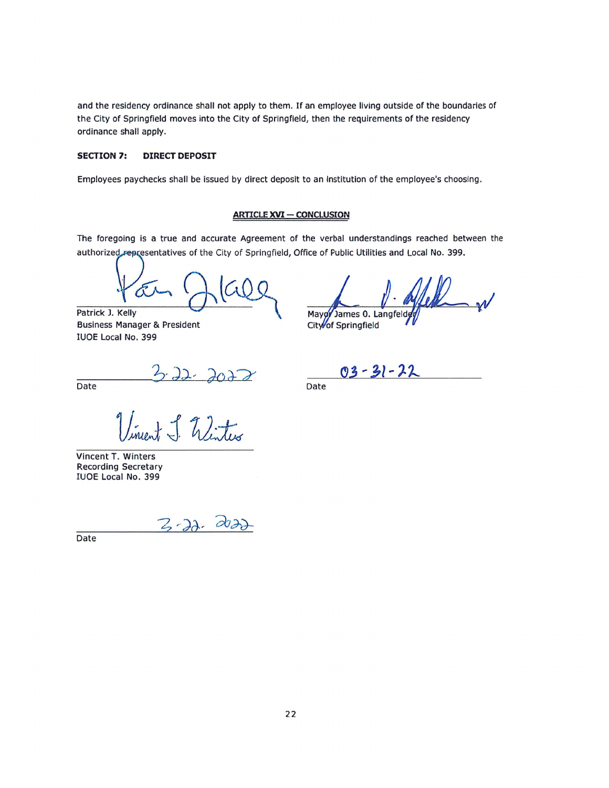and the residency ordinance shall not apply to them. If an employee living outside of the boundaries of the City of Springfield moves into the City of Springfield, then the requirements of the residency ordinance shall apply.

#### **SECTION 7: DIRECT DEPOSIT**

Employees paychecks shall be issued by direct deposit to an institution of the employee's choosing.

#### **ARTICLE XVI - CONCLUSION**

The foregoing is a true and accurate Agreement of the verbal understandings reached between the authorized representatives of the City of Springfield, Office of Public Utilities and Local No. 399.

Patrick J. Kelly **Business Manager & President** IUOE Local No. 399

Mayor James 0. Langfelde

City of Springfield

Date

3.22.2022

Vincent T. Winters **Recording Secretary** IUOE Local No. 399

3-22. 2022

Date

 $03 - 31 - 22$ 

Date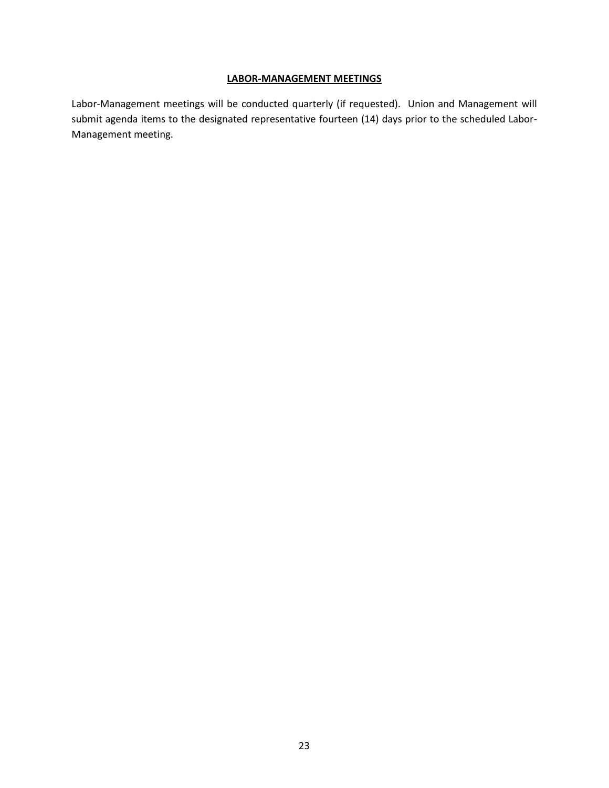#### **LABOR-MANAGEMENT MEETINGS**

<span id="page-24-0"></span>Labor-Management meetings will be conducted quarterly (if requested). Union and Management will submit agenda items to the designated representative fourteen (14) days prior to the scheduled Labor-Management meeting.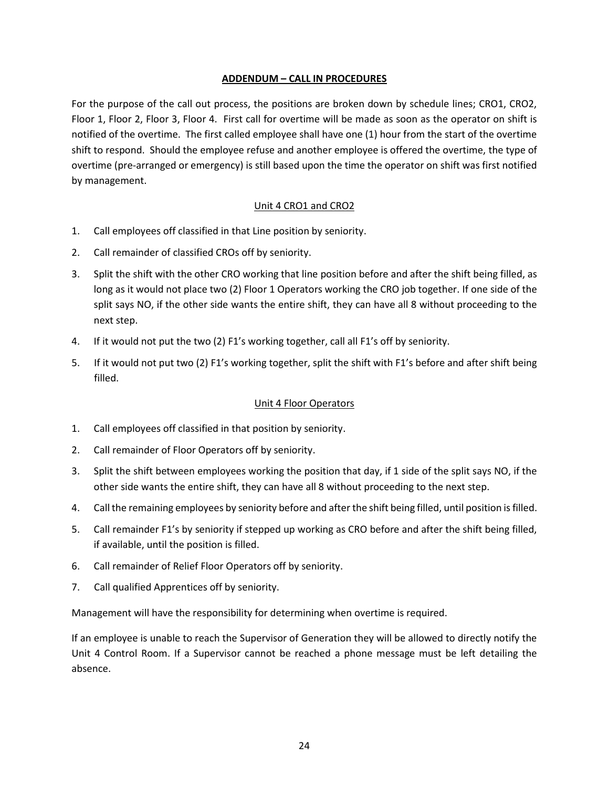### **ADDENDUM – CALL IN PROCEDURES**

<span id="page-25-0"></span>For the purpose of the call out process, the positions are broken down by schedule lines; CRO1, CRO2, Floor 1, Floor 2, Floor 3, Floor 4. First call for overtime will be made as soon as the operator on shift is notified of the overtime. The first called employee shall have one (1) hour from the start of the overtime shift to respond. Should the employee refuse and another employee is offered the overtime, the type of overtime (pre-arranged or emergency) is still based upon the time the operator on shift was first notified by management.

## Unit 4 CRO1 and CRO2

- 1. Call employees off classified in that Line position by seniority.
- 2. Call remainder of classified CROs off by seniority.
- 3. Split the shift with the other CRO working that line position before and after the shift being filled, as long as it would not place two (2) Floor 1 Operators working the CRO job together. If one side of the split says NO, if the other side wants the entire shift, they can have all 8 without proceeding to the next step.
- 4. If it would not put the two (2) F1's working together, call all F1's off by seniority.
- 5. If it would not put two (2) F1's working together, split the shift with F1's before and after shift being filled.

#### Unit 4 Floor Operators

- 1. Call employees off classified in that position by seniority.
- 2. Call remainder of Floor Operators off by seniority.
- 3. Split the shift between employees working the position that day, if 1 side of the split says NO, if the other side wants the entire shift, they can have all 8 without proceeding to the next step.
- 4. Call the remaining employees by seniority before and after the shift being filled, until position is filled.
- 5. Call remainder F1's by seniority if stepped up working as CRO before and after the shift being filled, if available, until the position is filled.
- 6. Call remainder of Relief Floor Operators off by seniority.
- 7. Call qualified Apprentices off by seniority.

Management will have the responsibility for determining when overtime is required.

If an employee is unable to reach the Supervisor of Generation they will be allowed to directly notify the Unit 4 Control Room. If a Supervisor cannot be reached a phone message must be left detailing the absence.